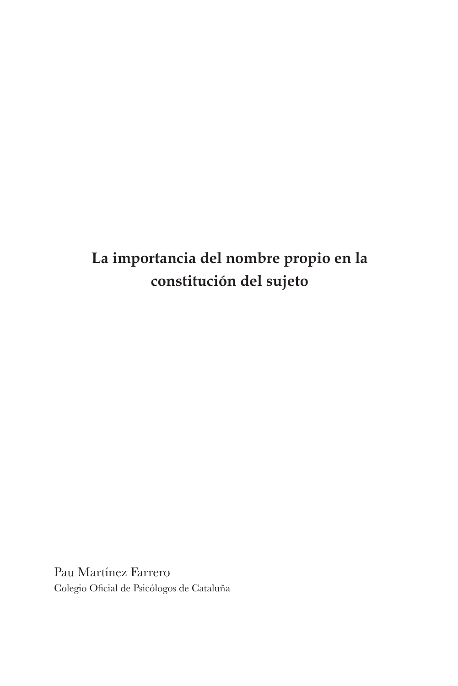# **La importancia del nombre propio en la constitución del sujeto**

Pau Martínez Farrero Colegio Oficial de Psicólogos de Cataluña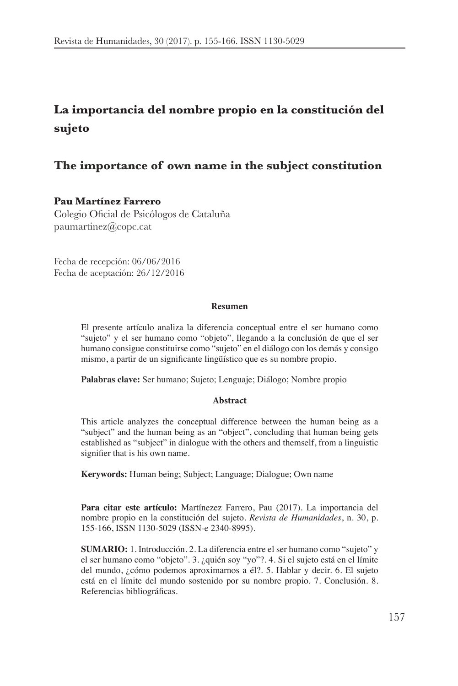## **La importancia del nombre propio en la constitución del sujeto**

#### **The importance of own name in the subject constitution**

#### **Pau Martínez Farrero**

Colegio Oficial de Psicólogos de Cataluña paumartinez@copc.cat

Fecha de recepción: 06/06/2016 Fecha de aceptación: 26/12/2016

#### **Resumen**

El presente artículo analiza la diferencia conceptual entre el ser humano como "sujeto" y el ser humano como "objeto", llegando a la conclusión de que el ser humano consigue constituirse como "sujeto" en el diálogo con los demás y consigo mismo, a partir de un significante lingüístico que es su nombre propio.

**Palabras clave:** Ser humano; Sujeto; Lenguaje; Diálogo; Nombre propio

#### **Abstract**

This article analyzes the conceptual difference between the human being as a "subject" and the human being as an "object", concluding that human being gets established as "subject" in dialogue with the others and themself, from a linguistic signifier that is his own name.

**Kerywords:** Human being; Subject; Language; Dialogue; Own name

Para citar este artículo: Martínezez Farrero, Pau (2017). La importancia del nombre propio en la constitución del sujeto. Revista de Humanidades, n. 30, p. 155-166, ISSN 1130-5029 (ISSN-e 2340-8995).

**SUMARIO:** 1. Introducción. 2. La diferencia entre el ser humano como "sujeto" y el ser humano como "objeto". 3. ¿quién soy "yo"?. 4. Si el sujeto está en el límite del mundo, ¿cómo podemos aproximarnos a él?. 5. Hablar y decir. 6. El sujeto está en el límite del mundo sostenido por su nombre propio. 7. Conclusión. 8. Referencias bibliográficas.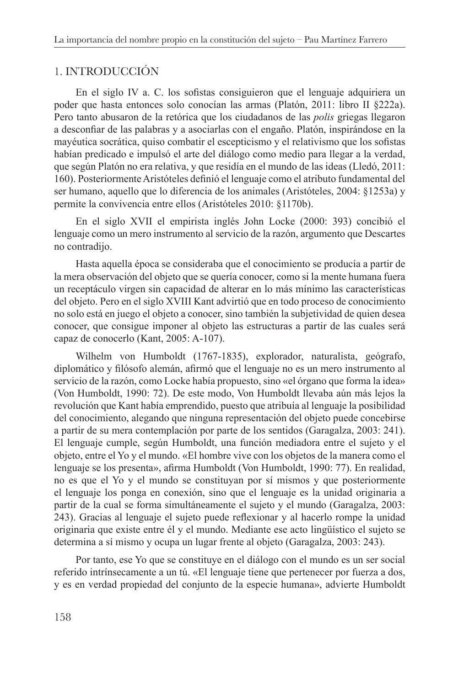## 1. INTRODUCCIÓN

En el siglo IV a. C. los sofistas consiguieron que el lenguaje adquiriera un poder que hasta entonces solo conocían las armas (Platón, 2011: libro II §222a). Pero tanto abusaron de la retórica que los ciudadanos de las *polis* griegas llegaron a desconfiar de las palabras y a asociarlas con el engaño. Platón, inspirándose en la mayéutica socrática, quiso combatir el escepticismo y el relativismo que los sofistas habían predicado e impulsó el arte del diálogo como medio para llegar a la verdad, que según Platón no era relativa, y que residía en el mundo de las ideas (Lledó, 2011: 160). Posteriormente Aristóteles definió el lenguaje como el atributo fundamental del ser humano, aquello que lo diferencia de los animales (Aristóteles, 2004: §1253a) y permite la convivencia entre ellos (Aristóteles 2010: §1170b).

En el siglo XVII el empirista inglés John Locke (2000: 393) concibió el lenguaje como un mero instrumento al servicio de la razón, argumento que Descartes no contradijo.

Hasta aquella época se consideraba que el conocimiento se producía a partir de la mera observación del objeto que se quería conocer, como si la mente humana fuera un receptáculo virgen sin capacidad de alterar en lo más mínimo las características del objeto. Pero en el siglo XVIII Kant advirtió que en todo proceso de conocimiento no solo está en juego el objeto a conocer, sino también la subjetividad de quien desea conocer, que consigue imponer al objeto las estructuras a partir de las cuales será capaz de conocerlo (Kant, 2005: A-107).

Wilhelm von Humboldt (1767-1835), explorador, naturalista, geógrafo, diplomático y filósofo alemán, afirmó que el lenguaje no es un mero instrumento al servicio de la razón, como Locke había propuesto, sino «el órgano que forma la idea» (Von Humboldt, 1990: 72). De este modo, Von Humboldt llevaba aún más lejos la revolución que Kant había emprendido, puesto que atribuía al lenguaje la posibilidad del conocimiento, alegando que ninguna representación del objeto puede concebirse a partir de su mera contemplación por parte de los sentidos (Garagalza, 2003: 241). El lenguaje cumple, según Humboldt, una función mediadora entre el sujeto y el objeto, entre el Yo y el mundo. «El hombre vive con los objetos de la manera como el lenguaje se los presenta», afirma Humboldt (Von Humboldt, 1990: 77). En realidad, no es que el Yo y el mundo se constituyan por sí mismos y que posteriormente el lenguaje los ponga en conexión, sino que el lenguaje es la unidad originaria a partir de la cual se forma simultáneamente el sujeto y el mundo (Garagalza, 2003: 243). Gracias al lenguaje el sujeto puede reflexionar y al hacerlo rompe la unidad originaria que existe entre él y el mundo. Mediante ese acto lingüístico el sujeto se determina a sí mismo y ocupa un lugar frente al objeto (Garagalza, 2003: 243).

Por tanto, ese Yo que se constituye en el diálogo con el mundo es un ser social referido intrínsecamente a un tú. «El lenguaje tiene que pertenecer por fuerza a dos, y es en verdad propiedad del conjunto de la especie humana», advierte Humboldt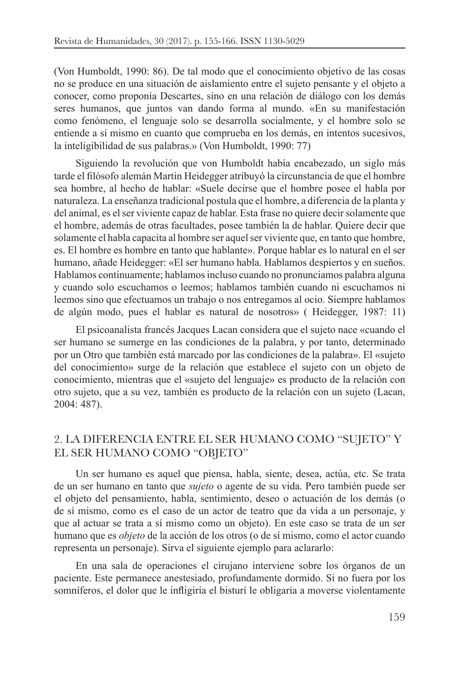(Von Humboldt, 1990: 86). De tal modo que el conocimiento objetivo de las cosas no se produce en una situación de aislamiento entre el sujeto pensante y el objeto a conocer, como proponía Descartes, sino en una relación de diálogo con los demás seres humanos, que juntos van dando forma al mundo. «En su manifestación como fenómeno, el lenguaje solo se desarrolla socialmente, y el hombre solo se entiende a sí mismo en cuanto que comprueba en los demás, en intentos sucesivos, la inteligibilidad de sus palabras.» (Von Humboldt, 1990: 77)

Siguiendo la revolución que von Humboldt había encabezado, un siglo más tarde el filósofo alemán Martin Heidegger atribuyó la circunstancia de que el hombre sea hombre, al hecho de hablar: «Suele decirse que el hombre posee el habla por naturaleza. La enseñanza tradicional postula que el hombre, a diferencia de la planta y del animal, es el ser viviente capaz de hablar. Esta frase no quiere decir solamente que el hombre, además de otras facultades, posee también la de hablar. Quiere decir que solamente el habla capacita al hombre ser aquel ser viviente que, en tanto que hombre, es. El hombre es hombre en tanto que hablante». Porque hablar es lo natural en el ser humano, añade Heidegger: «El ser humano habla. Hablamos despiertos y en sueños. Hablamos continuamente; hablamos incluso cuando no pronunciamos palabra alguna y cuando solo escuchamos o leemos; hablamos también cuando ni escuchamos ni leemos sino que efectuamos un trabajo o nos entregamos al ocio. Siempre hablamos de algún modo, pues el hablar es natural de nosotros» (Heidegger, 1987: 11)

El psicoanalista francés Jacques Lacan considera que el sujeto nace «cuando el ser humano se sumerge en las condiciones de la palabra, y por tanto, determinado por un Otro que también está marcado por las condiciones de la palabra». El «sujeto del conocimiento» surge de la relación que establece el sujeto con un objeto de conocimiento, mientras que el «sujeto del lenguaje» es producto de la relación con otro sujeto, que a su vez, también es producto de la relación con un sujeto (Lacan,  $2004:487$ ).

#### 2. LA DIFERENCIA ENTRE EL SER HUMANO COMO "SUJETO" Y EL SER HUMANO COMO "OBJETO"

Un ser humano es aquel que piensa, habla, siente, desea, actúa, etc. Se trata de un ser humano en tanto que *sujeto* o agente de su vida. Pero también puede ser el objeto del pensamiento, habla, sentimiento, deseo o actuación de los demás (o de sí mismo, como es el caso de un actor de teatro que da vida a un personaje, y que al actuar se trata a sí mismo como un objeto). En este caso se trata de un ser humano que es *objeto* de la acción de los otros (o de sí mismo, como el actor cuando representa un personaje). Sirva el siguiente ejemplo para aclararlo:

En una sala de operaciones el cirujano interviene sobre los órganos de un paciente. Este permanece anestesiado, profundamente dormido. Si no fuera por los somniferos, el dolor que le infligiría el bisturí le obligaría a moverse violentamente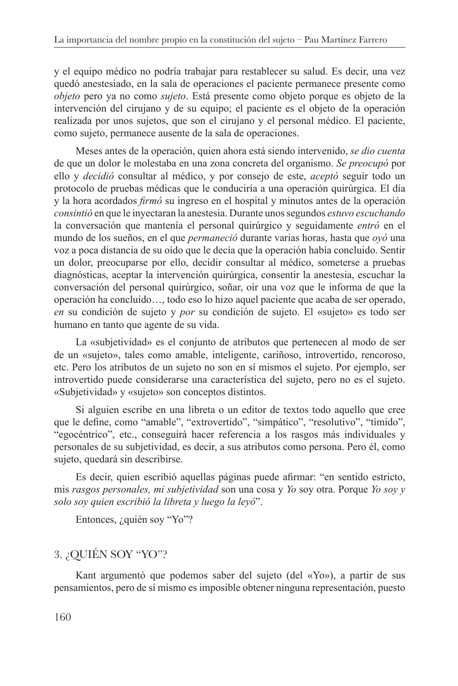y el equipo médico no podría trabajar para restablecer su salud. Es decir, una vez quedó anestesiado, en la sala de operaciones el paciente permanece presente como objeto pero ya no como *sujeto*. Está presente como objeto porque es objeto de la intervención del cirujano y de su equipo; el paciente es el objeto de la operación realizada por unos sujetos, que son el cirujano y el personal médico. El paciente, como sujeto, permanece ausente de la sala de operaciones.

Meses antes de la operación, quien ahora está siendo intervenido, se dio cuenta de que un dolor le molestaba en una zona concreta del organismo. Se preocupó por ello y *decidió* consultar al médico, y por consejo de este, *aceptó* seguir todo un protocolo de pruebas médicas que le conduciría a una operación quirúrgica. El día y la hora acordados *firmó* su ingreso en el hospital y minutos antes de la operación consintió en que le inyectaran la anestesia. Durante unos segundos estuvo escuchando la conversación que mantenía el personal quirúrgico y seguidamente entró en el mundo de los sueños, en el que *permaneció* durante varias horas, hasta que oyó una voz a poca distancia de su oído que le decía que la operación había concluido. Sentir un dolor, preocuparse por ello, decidir consultar al médico, someterse a pruebas diagnósticas, aceptar la intervención quirúrgica, consentir la anestesia, escuchar la conversación del personal quirúrgico, soñar, oír una voz que le informa de que la operación ha concluido..., todo eso lo hizo aquel paciente que acaba de ser operado, en su condición de sujeto y por su condición de sujeto. El «sujeto» es todo ser humano en tanto que agente de su vida.

La «subjetividad» es el conjunto de atributos que pertenecen al modo de ser de un «sujeto», tales como amable, inteligente, cariñoso, introvertido, rencoroso, etc. Pero los atributos de un sujeto no son en sí mismos el sujeto. Por ejemplo, ser introvertido puede considerarse una característica del sujeto, pero no es el sujeto. «Subjetividad» y «sujeto» son conceptos distintos.

Si alguien escribe en una libreta o un editor de textos todo aquello que cree que le define, como "amable", "extrovertido", "simpático", "resolutivo", "tímido", "egocéntrico", etc., conseguirá hacer referencia a los rasgos más individuales y personales de su subjetividad, es decir, a sus atributos como persona. Pero él, como sujeto, quedará sin describirse.

Es decir, quien escribió aquellas páginas puede afirmar: "en sentido estricto, mis rasgos personales, mi subjetividad son una cosa y Yo soy otra. Porque Yo soy y solo soy quien escribió la libreta y luego la leyó".

Entonces, ¿quién soy "Yo"?

### 3. ¿QUIÉN SOY "YO"?

Kant argumentó que podemos saber del sujeto (del «Yo»), a partir de sus pensamientos, pero de sí mismo es imposible obtener ninguna representación, puesto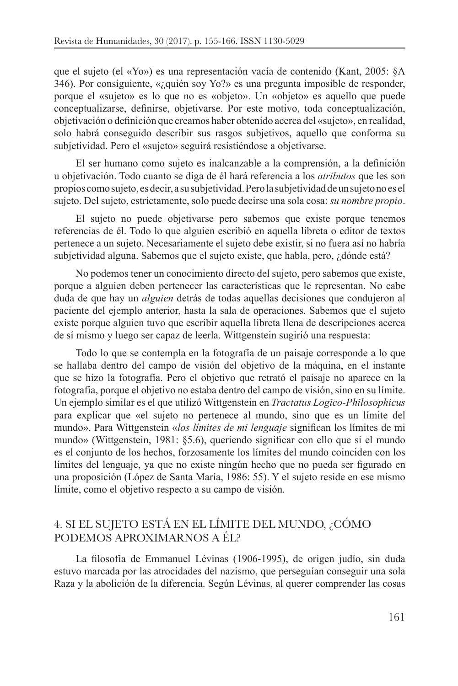que el sujeto (el «Yo») es una representación vacía de contenido (Kant, 2005: §A 346). Por consiguiente, «¿quién soy Yo?» es una pregunta imposible de responder, porque el «sujeto» es lo que no es «objeto». Un «objeto» es aquello que puede conceptualizarse, definirse, objetivarse. Por este motivo, toda conceptualización, objetivación o definición que creamos haber obtenido acerca del «sujeto», en realidad, solo habrá conseguido describir sus rasgos subjetivos, aquello que conforma su subjetividad. Pero el «sujeto» seguirá resistiéndose a objetivarse.

El ser humano como sujeto es inalcanzable a la comprensión, a la definición u objetivación. Todo cuanto se diga de él hará referencia a los *atributos* que les son propios como sujeto, es decir, a su subjetividad. Pero la subjetividad de un sujeto no es el sujeto. Del sujeto, estrictamente, solo puede decirse una sola cosa: su nombre propio.

El sujeto no puede objetivarse pero sabemos que existe porque tenemos referencias de él. Todo lo que alguien escribió en aquella libreta o editor de textos pertenece a un sujeto. Necesariamente el sujeto debe existir, si no fuera así no habría subjetividad alguna. Sabemos que el sujeto existe, que habla, pero, ¿dónde está?

No podemos tener un conocimiento directo del sujeto, pero sabemos que existe, porque a alguien deben pertenecer las características que le representan. No cabe duda de que hay un *alguien* detrás de todas aquellas decisiones que condujeron al paciente del ejemplo anterior, hasta la sala de operaciones. Sabemos que el sujeto existe porque alguien tuvo que escribir aquella libreta llena de descripciones acerca de sí mismo y luego ser capaz de leerla. Wittgenstein sugirió una respuesta:

Todo lo que se contempla en la fotografía de un paisaje corresponde a lo que se hallaba dentro del campo de visión del objetivo de la máquina, en el instante que se hizo la fotografía. Pero el objetivo que retrató el paisaje no aparece en la fotografía, porque el objetivo no estaba dentro del campo de visión, sino en su límite. Un ejemplo similar es el que utilizó Wittgenstein en Tractatus Logico-Philosophicus para explicar que «el sujeto no pertenece al mundo, sino que es un límite del mundo». Para Wittgenstein «los límites de mi lenguaje significan los límites de mi mundo» (Wittgenstein, 1981: §5.6), queriendo significar con ello que si el mundo es el conjunto de los hechos, forzosamente los límites del mundo coinciden con los límites del lenguaje, ya que no existe ningún hecho que no pueda ser figurado en una proposición (López de Santa María, 1986: 55). Y el sujeto reside en ese mismo límite, como el objetivo respecto a su campo de visión.

### 4. SI EL SUJETO ESTÁ EN EL LÍMITE DEL MUNDO, ¿CÓMO PODEMOS APROXIMARNOS A ÉL?

La filosofía de Emmanuel Lévinas (1906-1995), de origen judío, sin duda estuvo marcada por las atrocidades del nazismo, que perseguían conseguir una sola Raza y la abolición de la diferencia. Según Lévinas, al querer comprender las cosas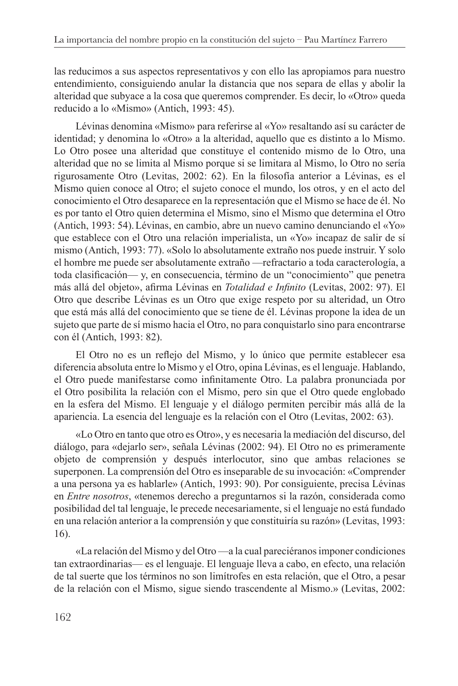las reducimos a sus aspectos representativos y con ello las apropiamos para nuestro entendimiento, consiguiendo anular la distancia que nos separa de ellas y abolir la alteridad que subyace a la cosa que queremos comprender. Es decir, lo «Otro» queda reducido a lo «Mismo» (Antich, 1993: 45).

Lévinas denomina «Mismo» para referirse al «Yo» resaltando así su carácter de identidad; y denomina lo «Otro» a la alteridad, aquello que es distinto a lo Mismo. Lo Otro posee una alteridad que constituye el contenido mismo de lo Otro, una alteridad que no se limita al Mismo porque si se limitara al Mismo, lo Otro no sería rigurosamente Otro (Levitas, 2002: 62). En la filosofía anterior a Lévinas, es el Mismo quien conoce al Otro; el sujeto conoce el mundo, los otros, y en el acto del conocimiento el Otro desaparece en la representación que el Mismo se hace de él. No es por tanto el Otro quien determina el Mismo, sino el Mismo que determina el Otro (Antich, 1993: 54). Lévinas, en cambio, abre un nuevo camino denunciando el «Yo» que establece con el Otro una relación imperialista, un «Yo» incapaz de salir de sí mismo (Antich, 1993: 77). «Solo lo absolutamente extraño nos puede instruir. Y solo el hombre me puede ser absolutamente extraño —refractario a toda caracterología, a toda clasificación— y, en consecuencia, término de un "conocimiento" que penetra más allá del objeto», afirma Lévinas en *Totalidad e Infinito* (Levitas, 2002: 97). El Otro que describe Lévinas es un Otro que exige respeto por su alteridad, un Otro que está más allá del conocimiento que se tiene de él. Lévinas propone la idea de un sujeto que parte de sí mismo hacia el Otro, no para conquistarlo sino para encontrarse con él (Antich, 1993: 82).

El Otro no es un reflejo del Mismo, y lo único que permite establecer esa diferencia absoluta entre lo Mismo y el Otro, opina Lévinas, es el lenguaje. Hablando, el Otro puede manifestarse como infinitamente Otro. La palabra pronunciada por el Otro posibilita la relación con el Mismo, pero sin que el Otro quede englobado en la esfera del Mismo. El lenguaje y el diálogo permiten percibir más allá de la apariencia. La esencia del lenguaje es la relación con el Otro (Levitas, 2002: 63).

«Lo Otro en tanto que otro es Otro», y es necesaria la mediación del discurso, del diálogo, para «dejarlo ser», señala Lévinas (2002: 94). El Otro no es primeramente objeto de comprensión y después interlocutor, sino que ambas relaciones se superponen. La comprensión del Otro es inseparable de su invocación: «Comprender a una persona ya es hablarle» (Antich, 1993: 90). Por consiguiente, precisa Lévinas en Entre nosotros, «tenemos derecho a preguntarnos si la razón, considerada como posibilidad del tal lenguaje, le precede necesariamente, si el lenguaje no está fundado en una relación anterior a la comprensión y que constituiría su razón» (Levitas, 1993:  $16$ ).

«La relación del Mismo y del Otro —a la cual pareciéranos imponer condiciones tan extraordinarias— es el lenguaje. El lenguaje lleva a cabo, en efecto, una relación de tal suerte que los términos no son limítrofes en esta relación, que el Otro, a pesar de la relación con el Mismo, sigue siendo trascendente al Mismo.» (Levitas, 2002: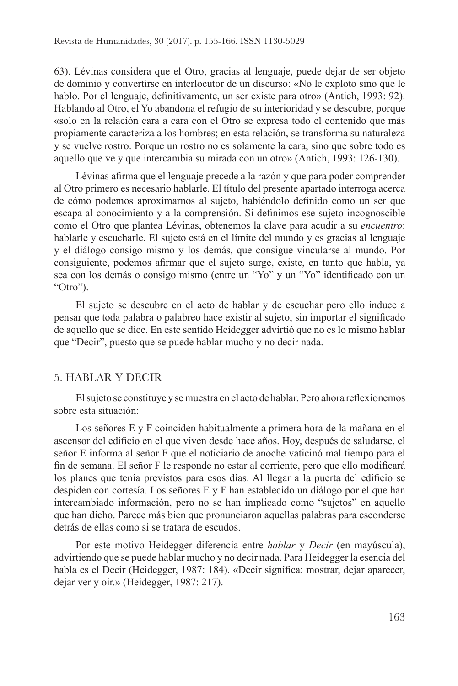63). Lévinas considera que el Otro, gracias al lenguaje, puede dejar de ser objeto de dominio y convertirse en interlocutor de un discurso: «No le exploto sino que le hablo. Por el lenguaje, definitivamente, un ser existe para otro» (Antich, 1993: 92). Hablando al Otro, el Yo abandona el refugio de su interioridad y se descubre, porque «solo en la relación cara a cara con el Otro se expresa todo el contenido que más propiamente caracteriza a los hombres; en esta relación, se transforma su naturaleza y se vuelve rostro. Porque un rostro no es solamente la cara, sino que sobre todo es aquello que ve y que intercambia su mirada con un otro» (Antich, 1993: 126-130).

Lévinas afirma que el lenguaje precede a la razón y que para poder comprender al Otro primero es necesario hablarle. El título del presente apartado interroga acerca de cómo podemos aproximarnos al sujeto, habiéndolo definido como un ser que escapa al conocimiento y a la comprensión. Si definimos ese sujeto incognoscible como el Otro que plantea Lévinas, obtenemos la clave para acudir a su encuentro: hablarle y escucharle. El sujeto está en el límite del mundo y es gracias al lenguaje y el diálogo consigo mismo y los demás, que consigue vincularse al mundo. Por consiguiente, podemos afirmar que el sujeto surge, existe, en tanto que habla, ya sea con los demás o consigo mismo (entre un "Yo" y un "Yo" identificado con un "Otro").

El sujeto se descubre en el acto de hablar y de escuchar pero ello induce a pensar que toda palabra o palabreo hace existir al sujeto, sin importar el significado de aquello que se dice. En este sentido Heidegger advirtió que no es lo mismo hablar que "Decir", puesto que se puede hablar mucho y no decir nada.

#### 5. HABLAR Y DECIR

El sujeto se constituye y se muestra en el acto de hablar. Pero ahora reflexionemos sobre esta situación:

Los señores E y F coinciden habitualmente a primera hora de la mañana en el ascensor del edificio en el que viven desde hace años. Hoy, después de saludarse, el señor E informa al señor F que el noticiario de anoche vaticinó mal tiempo para el fin de semana. El señor F le responde no estar al corriente, pero que ello modificará los planes que tenía previstos para esos días. Al llegar a la puerta del edificio se despiden con cortesía. Los señores E y F han establecido un diálogo por el que han intercambiado información, pero no se han implicado como "sujetos" en aquello que han dicho. Parece más bien que pronunciaron aquellas palabras para esconderse detrás de ellas como si se tratara de escudos.

Por este motivo Heidegger diferencia entre hablar y Decir (en mayúscula), advirtiendo que se puede hablar mucho y no decir nada. Para Heidegger la esencia del habla es el Decir (Heidegger, 1987: 184). «Decir significa: mostrar, dejar aparecer, dejar ver y oír.» (Heidegger, 1987: 217).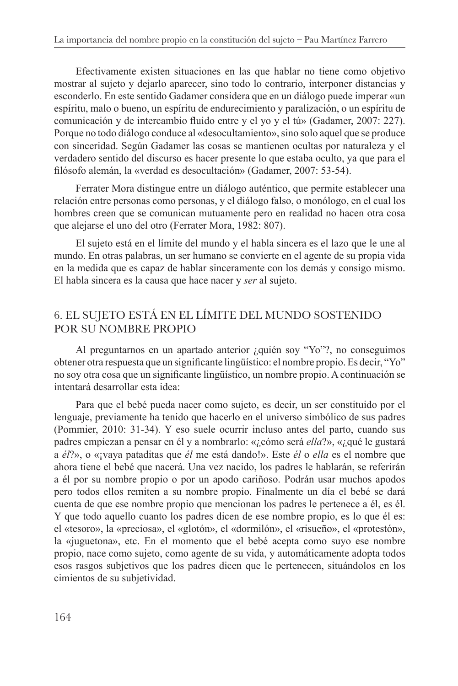Efectivamente existen situaciones en las que hablar no tiene como objetivo mostrar al sujeto y dejarlo aparecer, sino todo lo contrario, interponer distancias y esconderlo. En este sentido Gadamer considera que en un diálogo puede imperar «un espíritu, malo o bueno, un espíritu de endurecimiento y paralización, o un espíritu de comunicación y de intercambio fluido entre y el yo y el tú» (Gadamer, 2007: 227). Porque no todo diálogo conduce al «desocultamiento», sino solo aquel que se produce con sinceridad. Según Gadamer las cosas se mantienen ocultas por naturaleza y el verdadero sentido del discurso es hacer presente lo que estaba oculto, ya que para el filósofo alemán, la «verdad es desocultación» (Gadamer, 2007: 53-54).

Ferrater Mora distingue entre un diálogo auténtico, que permite establecer una relación entre personas como personas, y el diálogo falso, o monólogo, en el cual los hombres creen que se comunican mutuamente pero en realidad no hacen otra cosa que alejarse el uno del otro (Ferrater Mora, 1982: 807).

El sujeto está en el límite del mundo y el habla sincera es el lazo que le une al mundo. En otras palabras, un ser humano se convierte en el agente de su propia vida en la medida que es capaz de hablar sinceramente con los demás y consigo mismo. El habla sincera es la causa que hace nacer y ser al sujeto.

## 6. EL SUJETO ESTÁ EN EL LÍMITE DEL MUNDO SOSTENIDO POR SU NOMBRE PROPIO

Al preguntarnos en un apartado anterior ¿quién soy "Yo"?, no conseguimos obtener otra respuesta que un significante lingüístico: el nombre propio. Es decir, "Yo" no soy otra cosa que un significante lingüístico, un nombre propio. A continuación se intentará desarrollar esta idea:

Para que el bebé pueda nacer como sujeto, es decir, un ser constituido por el lenguaje, previamente ha tenido que hacerlo en el universo simbólico de sus padres (Pommier, 2010: 31-34). Y eso suele ocurrir incluso antes del parto, cuando sus padres empiezan a pensar en él y a nombrarlo: «¿cómo será *ella*?», «¿qué le gustará a él?», o «jvaya pataditas que él me está dando!». Este él o ella es el nombre que ahora tiene el bebé que nacerá. Una vez nacido, los padres le hablarán, se referirán a él por su nombre propio o por un apodo cariñoso. Podrán usar muchos apodos pero todos ellos remiten a su nombre propio. Finalmente un día el bebé se dará cuenta de que ese nombre propio que mencionan los padres le pertenece a él, es él. Y que todo aquello cuanto los padres dicen de ese nombre propio, es lo que él es: el «tesoro», la «preciosa», el «glotón», el «dormilón», el «risueño», el «protestón», la «juguetona», etc. En el momento que el bebé acepta como suyo ese nombre propio, nace como sujeto, como agente de su vida, y automáticamente adopta todos esos rasgos subjetivos que los padres dicen que le pertenecen, situándolos en los cimientos de su subjetividad.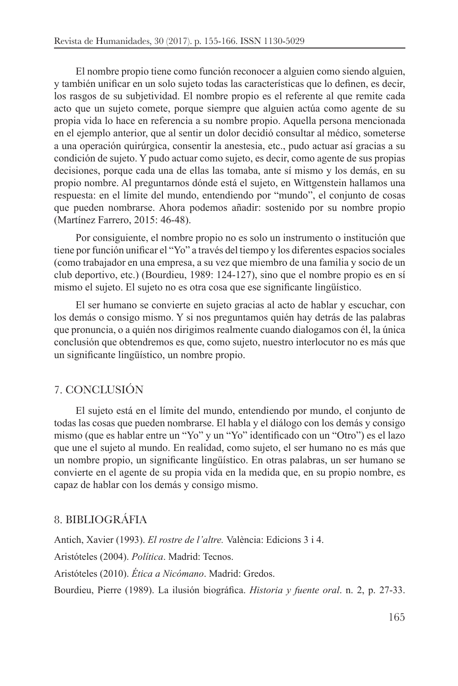El nombre propio tiene como función reconocer a alguien como siendo alguien,  $\mu$  también unificar en un solo sujeto todas las características que lo definen, es decir, los rasgos de su subjetividad. El nombre propio es el referente al que remite cada acto que un sujeto comete, porque siempre que alguien actúa como agente de su propia vida lo hace en referencia a su nombre propio. Aquella persona mencionada en el ejemplo anterior, que al sentir un dolor decidió consultar al médico, someterse a una operación quirúrgica, consentir la anestesia, etc., pudo actuar así gracias a su condición de sujeto. Y pudo actuar como sujeto, es decir, como agente de sus propias decisiones, porque cada una de ellas las tomaba, ante sí mismo y los demás, en su propio nombre. Al preguntarnos dónde está el sujeto, en Wittgenstein hallamos una respuesta: en el límite del mundo, entendiendo por "mundo", el conjunto de cosas que pueden nombrarse. Ahora podemos añadir: sostenido por su nombre propio (Martínez Farrero, 2015: 46-48).

Por consiguiente, el nombre propio no es solo un instrumento o institución que tiene por función unificar el "Yo" a través del tiempo y los diferentes espacios sociales (como trabajador en una empresa, a su vez que miembro de una familia y socio de un club deportivo, etc.) (Bourdieu, 1989: 124-127), sino que el nombre propio es en sí mismo el sujeto. El sujeto no es otra cosa que ese significante lingüístico.

El ser humano se convierte en sujeto gracias al acto de hablar y escuchar, con los demás o consigo mismo. Y si nos preguntamos quién hay detrás de las palabras que pronuncia, o a quién nos dirigimos realmente cuando dialogamos con él, la única conclusión que obtendremos es que, como sujeto, nuestro interlocutor no es más que un significante lingüístico, un nombre propio.

### 7. CONCLUSIÓN

El sujeto está en el límite del mundo, entendiendo por mundo, el conjunto de todas las cosas que pueden nombrarse. El habla y el diálogo con los demás y consigo mismo (que es hablar entre un "Yo" y un "Yo" identificado con un "Otro") es el lazo que une el sujeto al mundo. En realidad, como sujeto, el ser humano no es más que un nombre propio, un significante lingüístico. En otras palabras, un ser humano se convierte en el agente de su propia vida en la medida que, en su propio nombre, es capaz de hablar con los demás y consigo mismo.

#### 8. BIBLIOGRÁFIA

Antich, Xavier (1993). *El rostre de l'altre*. València: Edicions 3 i 4. Aristóteles (2004). Política. Madrid: Tecnos. Aristóteles (2010). Ética a Nicómano. Madrid: Gredos. Bourdieu, Pierre (1989). La ilusión biográfica. *Historia y fuente oral*. n. 2, p. 27-33.